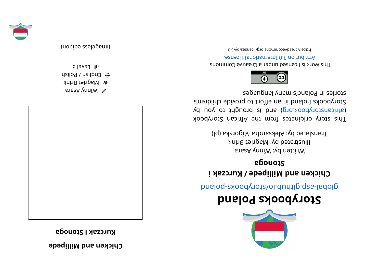## **eddep and Millipede**

**kurczak i Stonoga** 



**BJBSA ynniw &** Magriet Brink

 $\omega_{\text{S}}$  English / Polish

 $1$  II Level 3

(imageless edition)



## **dnal oPskoobyr otS**

glope- sajar puelod-syood your syor puelod-syood was contained by a series of puelo and about a series and abo

## **i katababali Millipede / Kurczak** i **agonotS**

Written by: Winny Asara Illustrated by: Magriet Brink Translated by: Aleksandra Migorska (pl)

kood yoof a siginaar ah uri setenigiyo yoot sidT (d uoy ot tripuor al bna is bnach or by day of an international space of an international space in  $\alpha$ Storybooks Poland in an effort to provide children's segaugnal ynam s'bnalo<sup>g</sup> ni zeinota.



This work is licensed under a Creative Commons . esnecial lanoit anternational License.

0. E\vd\zesrivecommons.org/licenses/by/3.0

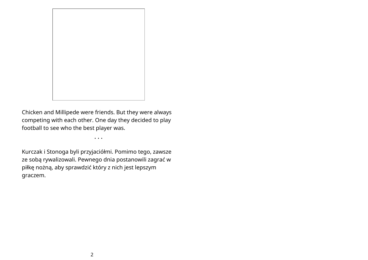

Chicken and Millipede were friends. But they were always competing with each other. One day they decided to play football to see who the best player was.

• • •

Kurczak i Stonoga byli przyjaciółmi. Pomimo tego, zawsze ze sobą rywalizowali. Pewnego dnia postanowili zagrać w piłkę nożną, aby sprawdzić który z nich jest lepszym graczem.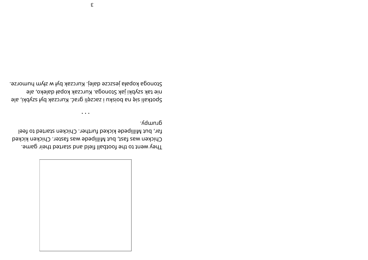

dunub. far, but Millipede kicked further. Chicken started to feel Chicken was fast, but Millipede was faster. Chicken kicked They went to the football field and started their game.

 $\cdots$ 

Stonoga kopała jeszcze dalej. Kurczak był w złym humorze. nie tak szybki jak Stonoga. Kurczak kopał daleko, ale Spotkali się na boisku i zaczęli grać. Kurczak był szybki, ale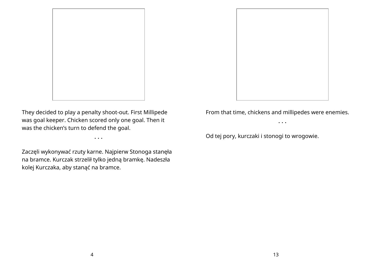

They decided to play a penalty shoot-out. First Millipede was goal keeper. Chicken scored only one goal. Then it was the chicken's turn to defend the goal.

• • •

Zaczęli wykonywać rzuty karne. Najpierw Stonoga stanęła na bramce. Kurczak strzelił tylko jedną bramkę. Nadeszła kolej Kurczaka, aby stanąć na bramce.

From that time, chickens and millipedes were enemies.

• • •

Od tej pory, kurczaki i stonogi to wrogowie.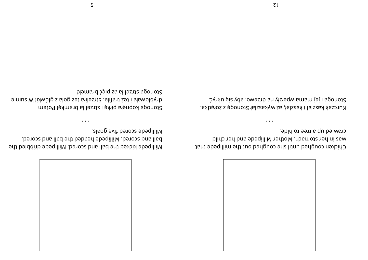

crawled up a tree to hide. was in her stomach. Mother Millipede and her child Chicken coughed until she coughed out the millipede that

 $\cdots$ 

Stonoga i jej mama wpełzły na drzewo, aby się ukryć. Kurczak kaszlał i kaszlał, aż wykaszlał Stonogę z żołądka.

. alsog evit benose sbeqilliM ball and scored. Millipede headed the ball and scored. 9dt belddinb ebeqilliM .berosa bna llad edt bekisled the

 $\cdots$ 

Stonoga strzeliła aż pięć bramek! simuz W !ixwołg z slog żeż słilastz2. słifat żeż yolowki! W sumie Stonoga kopnęła piłkę i strzeliła bramkę! Potem

 $\mathsf{S}$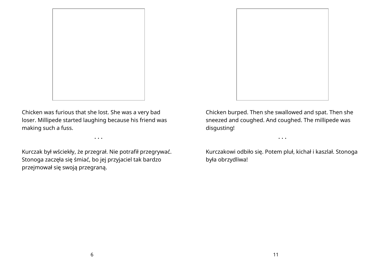

Chicken was furious that she lost. She was a very bad loser. Millipede started laughing because his friend was making such a fuss.

• • •

Kurczak był wściekły, że przegrał. Nie potrafił przegrywać. Stonoga zaczęła się śmiać, bo jej przyjaciel tak bardzo przejmował się swoją przegraną.

Chicken burped. Then she swallowed and spat. Then she sneezed and coughed. And coughed. The millipede was disgusting!

Kurczakowi odbiło się. Potem pluł, kichał i kaszlał. Stonoga była obrzydliwa!

• • •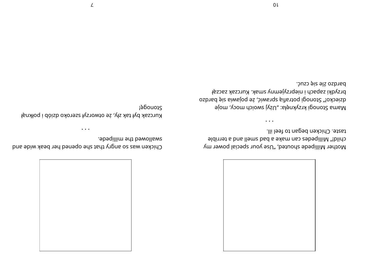

taste. Chicken began to feel ill. child!" Millipedes can make a bad smell and a terrible Mother Millipede shouted, "Use your special power my

 $\cdots$ 

bardzo źle się czuć. brzydki zapach i nieprzyjemny smak. Kurczak zaczął dziecko!" Stonogi potrafią sprawić, że pojawia się bardzo Mama Stonogi krzyknęła: "Użyj swoich mocy, moje

 $0<sub>l</sub>$ 

swallowed the millipede. Chicken was so angry that she opened her beak wide and

 $\cdots$ 

Stonogę! Kurczak był tak zły, że otworzył szeroko dziób i połknął